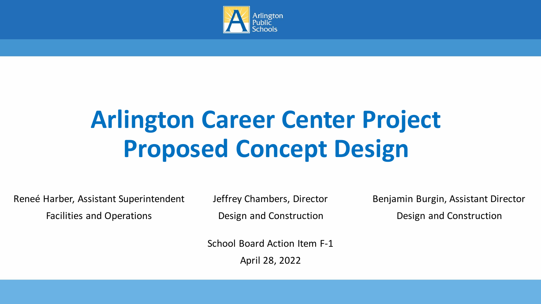

## **Arlington Career Center Project Proposed Concept Design**

Reneé Harber, Assistant Superintendent Facilities and Operations

Jeffrey Chambers, Director Design and Construction

Benjamin Burgin, Assistant Director Design and Construction

School Board Action Item F-1

April 28, 2022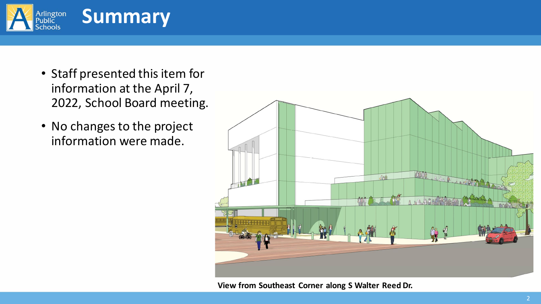

- Staff presented this item for information at the April 7, 2022, School Board meeting.
- No changes to the project information were made.



**View from Southeast Corner along S Walter Reed Dr.**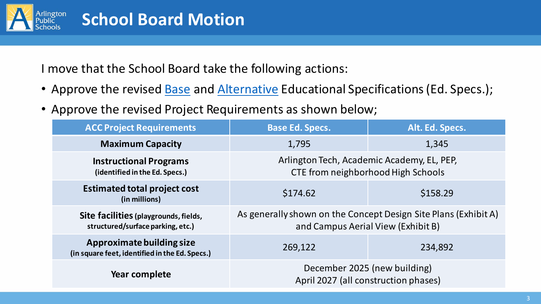

I move that the School Board take the following actions:

- Approve the revised **Base** and **Alternative Educational Specifications (Ed. Specs.);**
- Approve the revised Project Requirements as shown below;

| <b>ACC Project Requirements</b>                                             | <b>Base Ed. Specs.</b>                                                                                | Alt. Ed. Specs. |
|-----------------------------------------------------------------------------|-------------------------------------------------------------------------------------------------------|-----------------|
| <b>Maximum Capacity</b>                                                     | 1,795                                                                                                 | 1,345           |
| <b>Instructional Programs</b><br>(identified in the Ed. Specs.)             | Arlington Tech, Academic Academy, EL, PEP,<br>CTE from neighborhood High Schools                      |                 |
| <b>Estimated total project cost</b><br>(in millions)                        | \$174.62                                                                                              | \$158.29        |
| Site facilities (playgrounds, fields,<br>structured/surface parking, etc.)  | As generally shown on the Concept Design Site Plans (Exhibit A)<br>and Campus Aerial View (Exhibit B) |                 |
| Approximate building size<br>(in square feet, identified in the Ed. Specs.) | 269,122                                                                                               | 234,892         |
| Year complete                                                               | December 2025 (new building)<br>April 2027 (all construction phases)                                  |                 |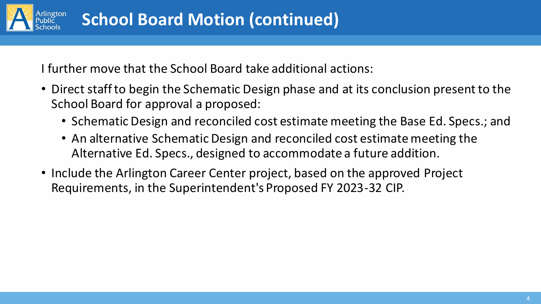

I further move that the School Board take additional actions:

- Direct staff to begin the Schematic Design phase and at its conclusion present to the School Board for approval a proposed:
	- Schematic Design and reconciled cost estimate meeting the Base Ed. Specs.; and
	- An alternative Schematic Design and reconciled cost estimate meeting the Alternative Ed. Specs., designed to accommodate a future addition.
- Include the Arlington Career Center project, based on the approved Project Requirements, in the Superintendent's Proposed FY 2023-32 CIP.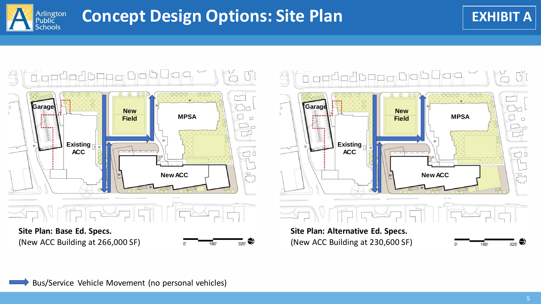